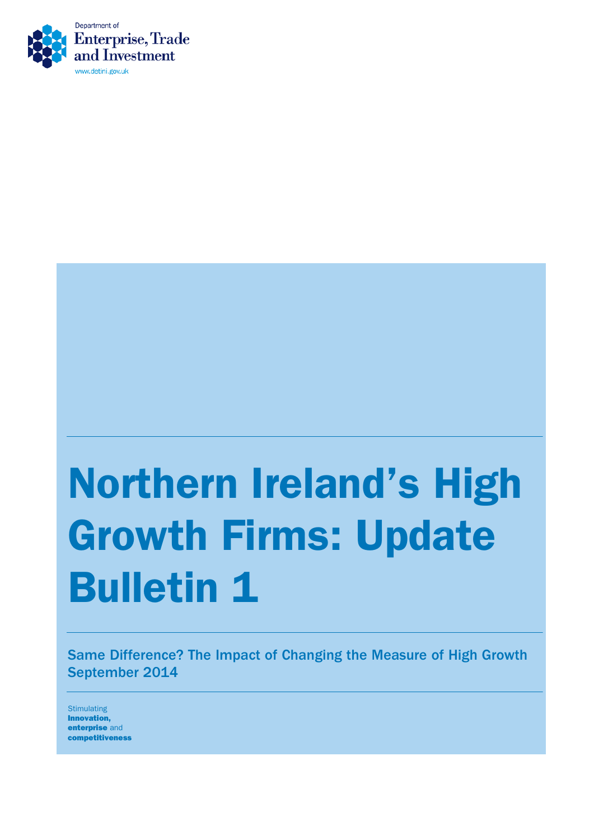

# Northern Ireland's High Growth Firms: Update Bulletin 1

Same Difference? The Impact of Changing the Measure of High Growth September 2014

**Stimulating** Innovation, enterprise and competitiveness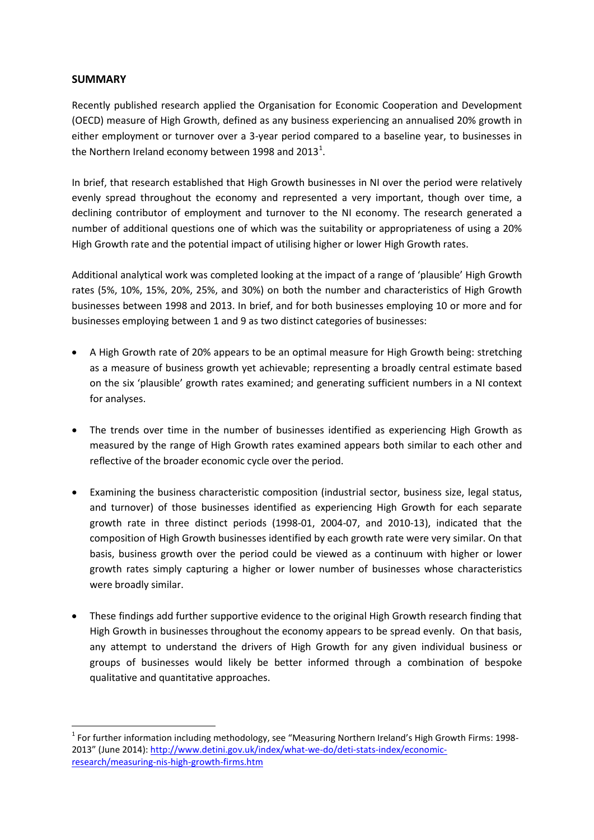#### **SUMMARY**

Recently published research applied the Organisation for Economic Cooperation and Development (OECD) measure of High Growth, defined as any business experiencing an annualised 20% growth in either employment or turnover over a 3-year period compared to a baseline year, to businesses in the Northern Ireland economy between [1](#page-1-0)998 and 2013<sup>1</sup>.

In brief, that research established that High Growth businesses in NI over the period were relatively evenly spread throughout the economy and represented a very important, though over time, a declining contributor of employment and turnover to the NI economy. The research generated a number of additional questions one of which was the suitability or appropriateness of using a 20% High Growth rate and the potential impact of utilising higher or lower High Growth rates.

Additional analytical work was completed looking at the impact of a range of 'plausible' High Growth rates (5%, 10%, 15%, 20%, 25%, and 30%) on both the number and characteristics of High Growth businesses between 1998 and 2013. In brief, and for both businesses employing 10 or more and for businesses employing between 1 and 9 as two distinct categories of businesses:

- A High Growth rate of 20% appears to be an optimal measure for High Growth being: stretching as a measure of business growth yet achievable; representing a broadly central estimate based on the six 'plausible' growth rates examined; and generating sufficient numbers in a NI context for analyses.
- The trends over time in the number of businesses identified as experiencing High Growth as measured by the range of High Growth rates examined appears both similar to each other and reflective of the broader economic cycle over the period.
- Examining the business characteristic composition (industrial sector, business size, legal status, and turnover) of those businesses identified as experiencing High Growth for each separate growth rate in three distinct periods (1998-01, 2004-07, and 2010-13), indicated that the composition of High Growth businesses identified by each growth rate were very similar. On that basis, business growth over the period could be viewed as a continuum with higher or lower growth rates simply capturing a higher or lower number of businesses whose characteristics were broadly similar.
- These findings add further supportive evidence to the original High Growth research finding that High Growth in businesses throughout the economy appears to be spread evenly. On that basis, any attempt to understand the drivers of High Growth for any given individual business or groups of businesses would likely be better informed through a combination of bespoke qualitative and quantitative approaches.

<span id="page-1-0"></span><sup>&</sup>lt;sup>1</sup> For further information including methodology, see "Measuring Northern Ireland's High Growth Firms: 1998-2013" (June 2014): [http://www.detini.gov.uk/index/what-we-do/deti-stats-index/economic](http://www.detini.gov.uk/index/what-we-do/deti-stats-index/economic-research/measuring-nis-high-growth-firms.htm)[research/measuring-nis-high-growth-firms.htm](http://www.detini.gov.uk/index/what-we-do/deti-stats-index/economic-research/measuring-nis-high-growth-firms.htm)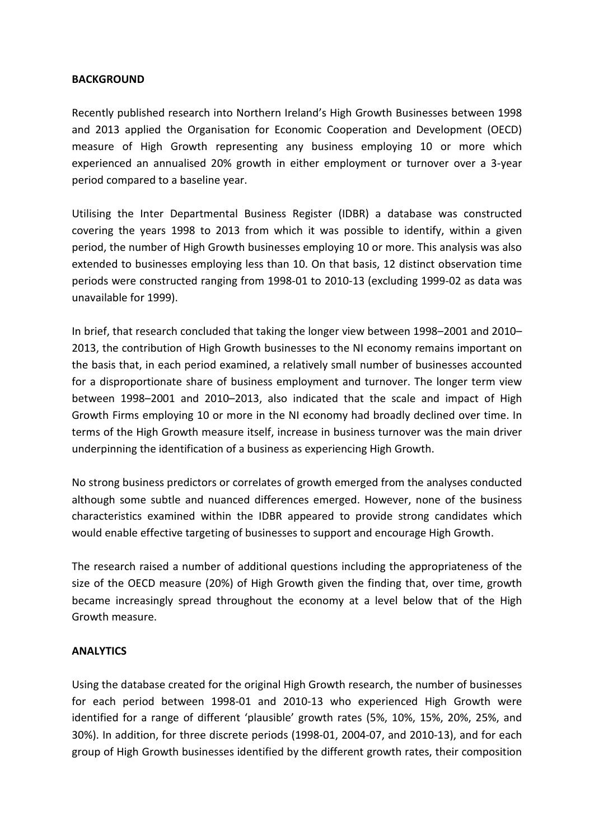#### **BACKGROUND**

Recently published research into Northern Ireland's High Growth Businesses between 1998 and 2013 applied the Organisation for Economic Cooperation and Development (OECD) measure of High Growth representing any business employing 10 or more which experienced an annualised 20% growth in either employment or turnover over a 3-year period compared to a baseline year.

Utilising the Inter Departmental Business Register (IDBR) a database was constructed covering the years 1998 to 2013 from which it was possible to identify, within a given period, the number of High Growth businesses employing 10 or more. This analysis was also extended to businesses employing less than 10. On that basis, 12 distinct observation time periods were constructed ranging from 1998-01 to 2010-13 (excluding 1999-02 as data was unavailable for 1999).

In brief, that research concluded that taking the longer view between 1998–2001 and 2010– 2013, the contribution of High Growth businesses to the NI economy remains important on the basis that, in each period examined, a relatively small number of businesses accounted for a disproportionate share of business employment and turnover. The longer term view between 1998–2001 and 2010–2013, also indicated that the scale and impact of High Growth Firms employing 10 or more in the NI economy had broadly declined over time. In terms of the High Growth measure itself, increase in business turnover was the main driver underpinning the identification of a business as experiencing High Growth.

No strong business predictors or correlates of growth emerged from the analyses conducted although some subtle and nuanced differences emerged. However, none of the business characteristics examined within the IDBR appeared to provide strong candidates which would enable effective targeting of businesses to support and encourage High Growth.

The research raised a number of additional questions including the appropriateness of the size of the OECD measure (20%) of High Growth given the finding that, over time, growth became increasingly spread throughout the economy at a level below that of the High Growth measure.

#### **ANALYTICS**

Using the database created for the original High Growth research, the number of businesses for each period between 1998-01 and 2010-13 who experienced High Growth were identified for a range of different 'plausible' growth rates (5%, 10%, 15%, 20%, 25%, and 30%). In addition, for three discrete periods (1998-01, 2004-07, and 2010-13), and for each group of High Growth businesses identified by the different growth rates, their composition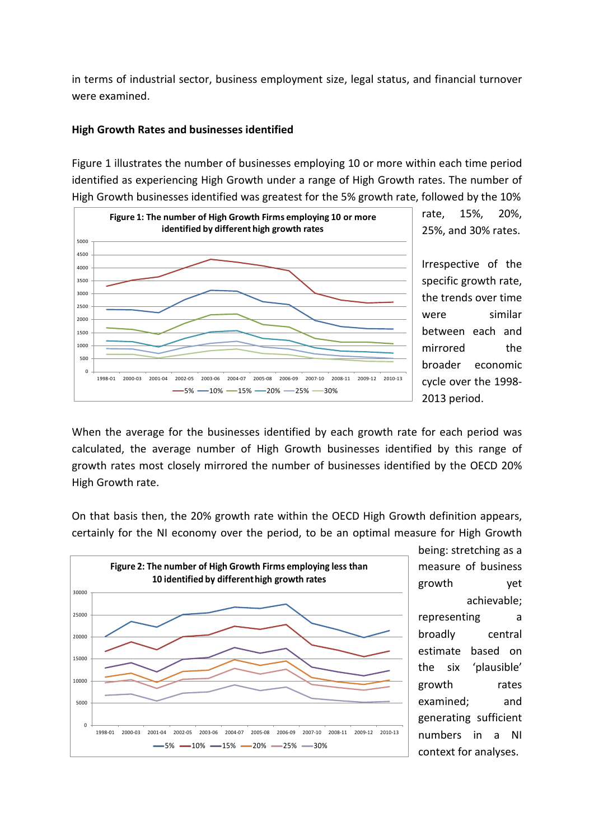in terms of industrial sector, business employment size, legal status, and financial turnover were examined.

#### **High Growth Rates and businesses identified**

Figure 1 illustrates the number of businesses employing 10 or more within each time period identified as experiencing High Growth under a range of High Growth rates. The number of High Growth businesses identified was greatest for the 5% growth rate, followed by the 10%



rate, 15%, 20%, 25%, and 30% rates.

Irrespective of the specific growth rate, the trends over time were similar between each and mirrored the broader economic cycle over the 1998- 2013 period.

When the average for the businesses identified by each growth rate for each period was calculated, the average number of High Growth businesses identified by this range of growth rates most closely mirrored the number of businesses identified by the OECD 20% High Growth rate.

On that basis then, the 20% growth rate within the OECD High Growth definition appears, certainly for the NI economy over the period, to be an optimal measure for High Growth



being: stretching as a measure of business growth yet achievable; representing a broadly central estimate based on the six 'plausible' growth rates examined; and generating sufficient numbers in a NI context for analyses.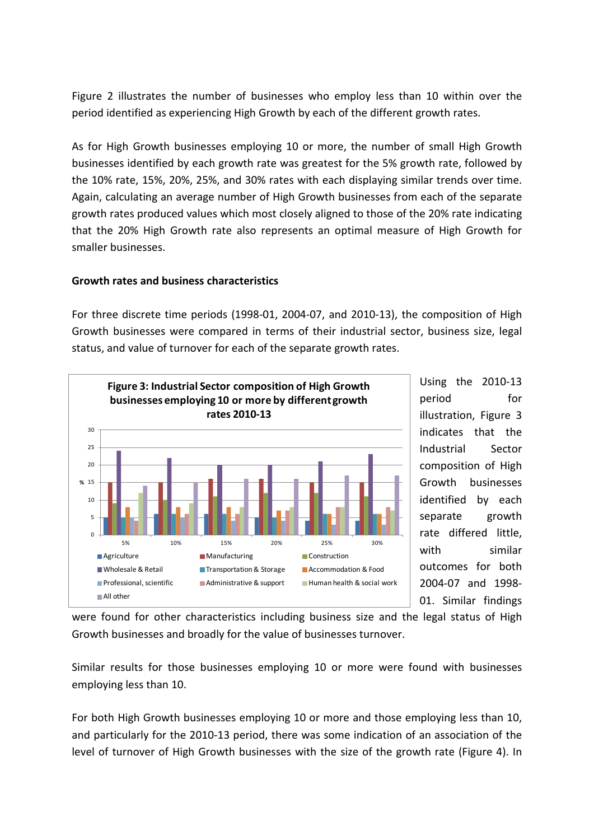Figure 2 illustrates the number of businesses who employ less than 10 within over the period identified as experiencing High Growth by each of the different growth rates.

As for High Growth businesses employing 10 or more, the number of small High Growth businesses identified by each growth rate was greatest for the 5% growth rate, followed by the 10% rate, 15%, 20%, 25%, and 30% rates with each displaying similar trends over time. Again, calculating an average number of High Growth businesses from each of the separate growth rates produced values which most closely aligned to those of the 20% rate indicating that the 20% High Growth rate also represents an optimal measure of High Growth for smaller businesses.

### **Growth rates and business characteristics**

For three discrete time periods (1998-01, 2004-07, and 2010-13), the composition of High Growth businesses were compared in terms of their industrial sector, business size, legal status, and value of turnover for each of the separate growth rates.



Using the 2010-13 period for illustration, Figure 3 indicates that the Industrial Sector composition of High Growth businesses identified by each separate growth rate differed little, with similar outcomes for both 2004-07 and 1998- 01. Similar findings

were found for other characteristics including business size and the legal status of High Growth businesses and broadly for the value of businesses turnover.

Similar results for those businesses employing 10 or more were found with businesses employing less than 10.

For both High Growth businesses employing 10 or more and those employing less than 10, and particularly for the 2010-13 period, there was some indication of an association of the level of turnover of High Growth businesses with the size of the growth rate (Figure 4). In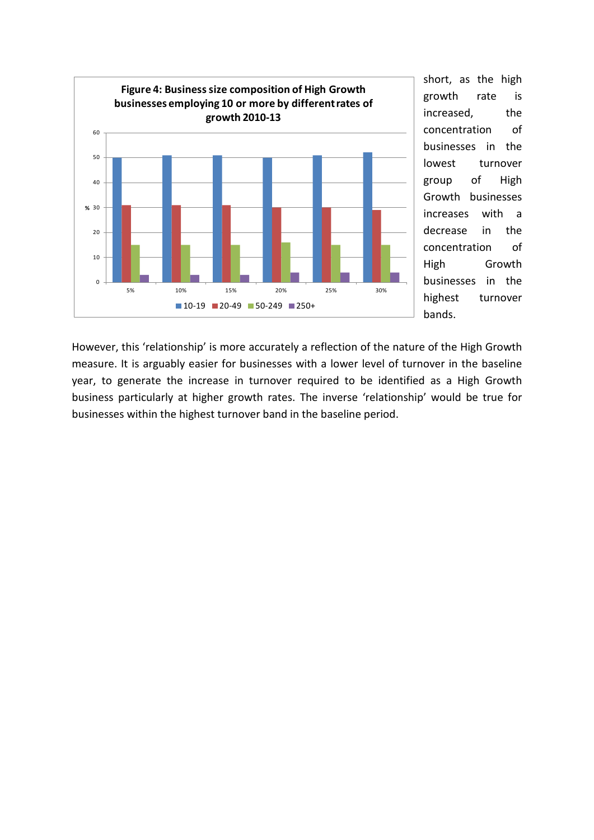

short, as the high growth rate is increased, the concentration of businesses in the lowest turnover group of High Growth businesses increases with a decrease in the concentration of High Growth businesses in the highest turnover bands.

However, this 'relationship' is more accurately a reflection of the nature of the High Growth measure. It is arguably easier for businesses with a lower level of turnover in the baseline year, to generate the increase in turnover required to be identified as a High Growth business particularly at higher growth rates. The inverse 'relationship' would be true for businesses within the highest turnover band in the baseline period.